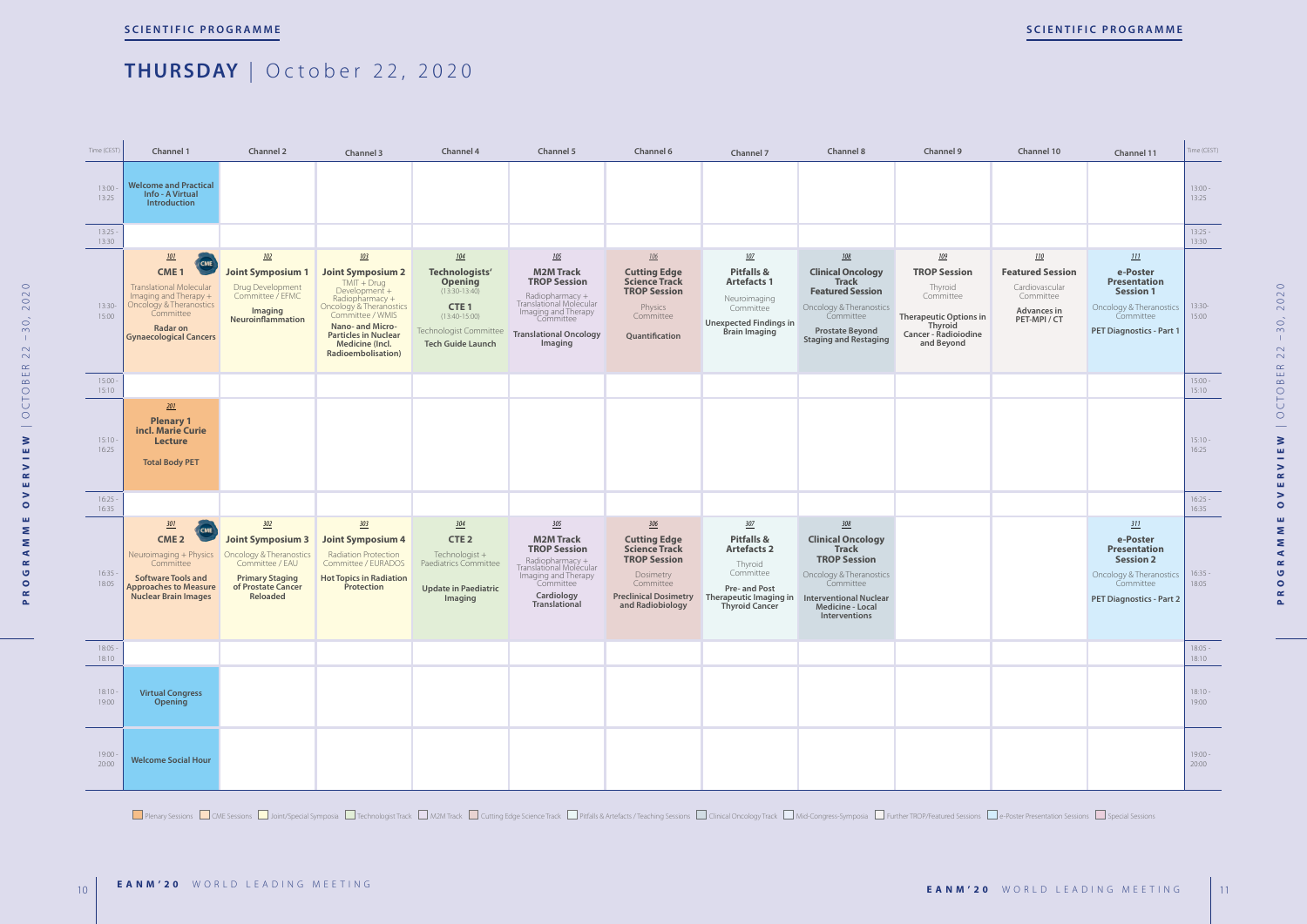

Plenary Sessions CME Sessions COME Sessions Dubint/Special Symposia CTechnologist Track CM2M Track COME Cutting Edge Science Track CPitfalls & Artefacts / Teaching Sessions Clinical Oncology Track CMid-Congress-Symposia CF

| Channel 10                                                                                               | Channel 11                                                                                                                            | Time (CEST)        |
|----------------------------------------------------------------------------------------------------------|---------------------------------------------------------------------------------------------------------------------------------------|--------------------|
|                                                                                                          |                                                                                                                                       | $13:00 -$<br>13:25 |
|                                                                                                          |                                                                                                                                       | $13:25 -$<br>13:30 |
| <u>110</u><br><b>Featured Session</b><br>Cardiovascular<br>Committee<br><b>Advances in</b><br>PET-MPI/CT | 111<br>e-Poster<br><b>Presentation</b><br><b>Session 1</b><br>Oncology & Theranostics<br>Committee<br>PET Diagnostics - Part 1        | $13:30-$<br>15:00  |
|                                                                                                          |                                                                                                                                       | $15:00 -$<br>15:10 |
|                                                                                                          |                                                                                                                                       | $15:10 -$<br>16:25 |
|                                                                                                          |                                                                                                                                       | $16:25 -$<br>16:35 |
|                                                                                                          | 311<br>e-Poster<br><b>Presentation</b><br><b>Session 2</b><br>Oncology & Theranostics<br>Committee<br><b>PET Diagnostics - Part 2</b> | $16:35 -$<br>18:05 |
|                                                                                                          |                                                                                                                                       | $18:05 -$<br>18:10 |
|                                                                                                          |                                                                                                                                       | $18:10 -$<br>19:00 |
|                                                                                                          |                                                                                                                                       | $19:00 -$<br>20:00 |

2020 **PROGRAMME OVERVIEW** | OCTOBER 22 –30, 2020  $-30,$  $22$ CTOBER  $\overline{O}$  $\frac{1}{2}$  $\geq$  $\mathbf{m}$ Ξ  $\geq$  $\simeq$  $\mathbf{m}$  $\geq$  $\bullet$  $\mathbf{u}$  $\sum$  $\mathbf{z}$  $\blacktriangleleft$  $\propto$  $\bullet$  $\circ$  $\simeq$  $\Delta$ 

### **THURSDAY** | October 22, 2020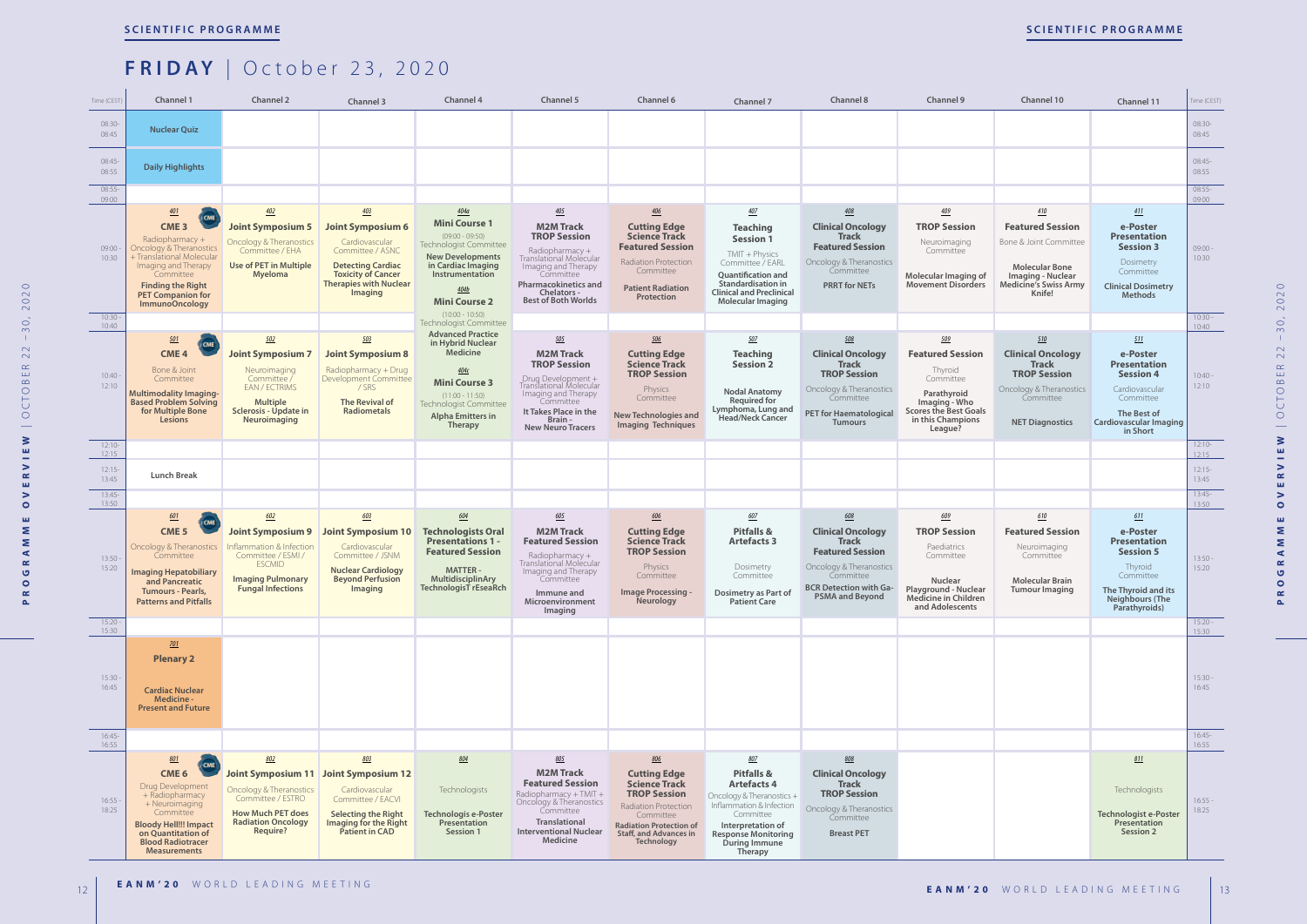### **FRIDAY** | October 23, 2020

| Time (CEST)       | Channel 1                                                                                                                                                                                                               | <b>Channel 2</b>                                                                                                                                           | Channel 3                                                                                                                                                                         | Channel 4                                                                                                                                                                                            | Channel 5                                                                                                                                                                                                                  | Channel 6                                                                                                                                                                                              | Channel 7                                                                                                                                                                                                      | <b>Channel 8</b>                                                                                                                                                              | Channel 9                                                                                                                                              | Channel 10                                                                                                                                       | Channel 11                                                                                                                                            | Time (CEST)        |
|-------------------|-------------------------------------------------------------------------------------------------------------------------------------------------------------------------------------------------------------------------|------------------------------------------------------------------------------------------------------------------------------------------------------------|-----------------------------------------------------------------------------------------------------------------------------------------------------------------------------------|------------------------------------------------------------------------------------------------------------------------------------------------------------------------------------------------------|----------------------------------------------------------------------------------------------------------------------------------------------------------------------------------------------------------------------------|--------------------------------------------------------------------------------------------------------------------------------------------------------------------------------------------------------|----------------------------------------------------------------------------------------------------------------------------------------------------------------------------------------------------------------|-------------------------------------------------------------------------------------------------------------------------------------------------------------------------------|--------------------------------------------------------------------------------------------------------------------------------------------------------|--------------------------------------------------------------------------------------------------------------------------------------------------|-------------------------------------------------------------------------------------------------------------------------------------------------------|--------------------|
| 08:30-<br>08:45   | <b>Nuclear Quiz</b>                                                                                                                                                                                                     |                                                                                                                                                            |                                                                                                                                                                                   |                                                                                                                                                                                                      |                                                                                                                                                                                                                            |                                                                                                                                                                                                        |                                                                                                                                                                                                                |                                                                                                                                                                               |                                                                                                                                                        |                                                                                                                                                  |                                                                                                                                                       | $08:30-$<br>08:45  |
| $08:45-$<br>08:55 | <b>Daily Highlights</b>                                                                                                                                                                                                 |                                                                                                                                                            |                                                                                                                                                                                   |                                                                                                                                                                                                      |                                                                                                                                                                                                                            |                                                                                                                                                                                                        |                                                                                                                                                                                                                |                                                                                                                                                                               |                                                                                                                                                        |                                                                                                                                                  |                                                                                                                                                       | $08:45-$<br>08:55  |
| $08:55-$<br>09:00 |                                                                                                                                                                                                                         |                                                                                                                                                            |                                                                                                                                                                                   |                                                                                                                                                                                                      |                                                                                                                                                                                                                            |                                                                                                                                                                                                        |                                                                                                                                                                                                                |                                                                                                                                                                               |                                                                                                                                                        |                                                                                                                                                  |                                                                                                                                                       | $08:55-$<br>09:00  |
| 09:00<br>10:30    | 401<br>CME <sub>3</sub><br>Radiopharmacy +<br>Oncology & Theranostics<br>+ Translational Molecular<br>Imaging and Therapy<br>Committee<br><b>Finding the Right</b><br><b>PET Companion for</b><br><b>ImmunoOncology</b> | 402<br><b>Joint Symposium 5</b><br><b>Oncology &amp; Theranostics</b><br>Committee / EHA<br><b>Use of PET in Multiple</b><br><b>Myeloma</b>                | 403<br><b>Joint Symposium 6</b><br>Cardiovascular<br>Committee / ASNC<br><b>Detecting Cardiac</b><br><b>Toxicity of Cancer</b><br><b>Therapies with Nuclear</b><br><b>Imaging</b> | 404a<br><b>Mini Course 1</b><br>$(09:00 - 09:50)$<br>Technologist Committee<br><b>New Developments</b><br>in Cardiac Imaging<br>Instrumentation<br>404b<br><b>Mini Course 2</b><br>$(10:00 - 10:50)$ | $\underline{405}$<br><b>M2M Track</b><br><b>TROP Session</b><br>Radiopharmacy +<br>Translational Molecular<br>Imaging and Therapy<br>Committee<br><b>Pharmacokinetics and</b><br>Chelators -<br><b>Best of Both Worlds</b> | 406<br><b>Cutting Edge</b><br><b>Science Track</b><br><b>Featured Session</b><br>Radiation Protection<br>Committee<br><b>Patient Radiation</b><br>Protection                                           | 40Z<br><b>Teaching</b><br><b>Session 1</b><br>$TMIT + Physics$<br>Committee / EARL<br>Quantification and<br>Standardisation in<br><b>Clinical and Preclinical</b><br><b>Molecular Imaging</b>                  | 408<br><b>Clinical Oncology</b><br><b>Track</b><br><b>Featured Session</b><br>Oncology & Theranostics<br>Committee<br><b>PRRT for NETs</b>                                    | 409<br><b>TROP Session</b><br>Neuroimaging<br>Committee<br>Molecular Imaging of<br><b>Movement Disorders</b>                                           | 410<br><b>Featured Session</b><br>Bone & Joint Committee<br><b>Molecular Bone</b><br>Imaging - Nuclear<br><b>Medicine's Swiss Army</b><br>Knife! | 411<br>e-Poster<br><b>Presentation</b><br><b>Session 3</b><br>Dosimetry<br>Committee<br><b>Clinical Dosimetry</b><br><b>Methods</b>                   | $09:00 -$<br>10:30 |
| 10:30<br>10:40    |                                                                                                                                                                                                                         |                                                                                                                                                            |                                                                                                                                                                                   | Technologist Committee                                                                                                                                                                               |                                                                                                                                                                                                                            |                                                                                                                                                                                                        |                                                                                                                                                                                                                |                                                                                                                                                                               |                                                                                                                                                        |                                                                                                                                                  |                                                                                                                                                       | $10:30 -$<br>10:40 |
| 10:40<br>12:10    | 501<br><b>CME</b><br>CME <sub>4</sub><br>Bone & Joint<br>Committee<br><b>Multimodality Imaging-</b><br><b>Based Problem Solving</b><br>for Multiple Bone<br><b>Lesions</b>                                              | 502<br><b>Joint Symposium 7</b><br>Neuroimaging<br>Committee /<br>EAN / ECTRIMS<br><b>Multiple</b><br>Sclerosis - Update in<br>Neuroimaging                | 503<br><b>Joint Symposium 8</b><br>Radiopharmacy + Drug<br>Development Committee<br>/SRS<br><b>The Revival of</b><br><b>Radiometals</b>                                           | <b>Advanced Practice</b><br>in Hybrid Nuclear<br><b>Medicine</b><br><u>404c</u><br><b>Mini Course 3</b><br>$(11:00 - 11:50)$<br>Technologist Committee<br><b>Alpha Emitters in</b><br><b>Therapy</b> | 505<br><b>M2M Track</b><br><b>TROP Session</b><br>Drug Development +<br>Translational Molecular<br>Imaging and Therapy<br>Committee<br>It Takes Place in the<br>Brain-<br><b>New Neuro Tracers</b>                         | 506<br><b>Cutting Edge</b><br><b>Science Track</b><br><b>TROP Session</b><br>Physics<br>Committee<br><b>New Technologies and</b><br><b>Imaging Techniques</b>                                          | 50Z<br><b>Teaching</b><br><b>Session 2</b><br><b>Nodal Anatomy</b><br><b>Required for</b><br>Lymphoma, Lung and<br><b>Head/Neck Cancer</b>                                                                     | 508<br><b>Clinical Oncology</b><br><b>Track</b><br><b>TROP Session</b><br>Oncology & Theranostics<br>Committee<br><b>PET for Haematological</b><br><b>Tumours</b>             | 509<br><b>Featured Session</b><br>Thyroid<br>Committee<br>Parathyroid<br>Imaging - Who<br><b>Scores the Best Goals</b><br>in this Champions<br>League? | 510<br><b>Clinical Oncology</b><br><b>Track</b><br><b>TROP Session</b><br>Oncology & Theranostics<br>Committee<br><b>NET Diagnostics</b>         | 511<br>e-Poster<br><b>Presentation</b><br><b>Session 4</b><br>Cardiovascular<br>Committee<br>The Best of<br><b>Cardiovascular Imaging</b><br>in Short | $10:40 -$<br>12:10 |
| $12:10-$<br>12:15 |                                                                                                                                                                                                                         |                                                                                                                                                            |                                                                                                                                                                                   |                                                                                                                                                                                                      |                                                                                                                                                                                                                            |                                                                                                                                                                                                        |                                                                                                                                                                                                                |                                                                                                                                                                               |                                                                                                                                                        |                                                                                                                                                  |                                                                                                                                                       | $12:10-$<br>12:15  |
| $12:15-$<br>13:45 | <b>Lunch Break</b>                                                                                                                                                                                                      |                                                                                                                                                            |                                                                                                                                                                                   |                                                                                                                                                                                                      |                                                                                                                                                                                                                            |                                                                                                                                                                                                        |                                                                                                                                                                                                                |                                                                                                                                                                               |                                                                                                                                                        |                                                                                                                                                  |                                                                                                                                                       | $12:15-$<br>13:45  |
| 13:45<br>13:50    |                                                                                                                                                                                                                         |                                                                                                                                                            |                                                                                                                                                                                   |                                                                                                                                                                                                      |                                                                                                                                                                                                                            |                                                                                                                                                                                                        |                                                                                                                                                                                                                |                                                                                                                                                                               |                                                                                                                                                        |                                                                                                                                                  |                                                                                                                                                       | $13:45-$<br>13:50  |
| 13:50<br>15:20    | 601<br><b>CME</b><br>CME <sub>5</sub><br>Oncology & Theranostics<br>Committee<br><b>Imaging Hepatobiliary</b><br>and Pancreatic<br><b>Tumours - Pearls,</b><br><b>Patterns and Pitfalls</b>                             | 602<br><b>Joint Symposium 9</b><br>Inflammation & Infection<br>Committee / ESMI /<br><b>ESCMID</b><br><b>Imaging Pulmonary</b><br><b>Fungal Infections</b> | 603<br>Joint Symposium 10<br>Cardiovascular<br>Committee / JSNM<br><b>Nuclear Cardiology</b><br><b>Beyond Perfusion</b><br>Imaging                                                | 604<br><b>Technologists Oral</b><br><b>Presentations 1 -</b><br><b>Featured Session</b><br><b>MATTER-</b><br>MultidisciplinAry<br>TechnologisT rEseaRch                                              | 605<br><b>M2M Track</b><br><b>Featured Session</b><br>Radiopharmacy $+$<br>Translational Molécular<br>Imaging and Therapy<br>Committee<br>Immune and<br>Microenvironment<br>Imaging                                        | 606<br><b>Cutting Edge</b><br><b>Science Track</b><br><b>TROP Session</b><br>Physics<br>Committee<br>Image Processing -<br><b>Neurology</b>                                                            | 60Z<br><b>Pitfalls &amp;</b><br><b>Artefacts 3</b><br>Dosimetry<br>Committee<br>Dosimetry as Part of<br><b>Patient Care</b>                                                                                    | 608<br><b>Clinical Oncology</b><br><b>Track</b><br><b>Featured Session</b><br>Oncology & Theranostics<br>Committee<br><b>BCR Detection with Ga-</b><br><b>PSMA and Beyond</b> | 609<br><b>TROP Session</b><br>Paediatrics<br>Committee<br>Nuclear<br>Playground - Nuclear<br>Medicine in Children<br>and Adolescents                   | 610<br><b>Featured Session</b><br>Neuroimaging<br>Committee<br><b>Molecular Brain</b><br><b>Tumour Imaging</b>                                   | 611<br>e-Poster<br><b>Presentation</b><br><b>Session 5</b><br>Thyroid<br>Committee<br>The Thyroid and its<br><b>Neighbours (The</b><br>Parathyroids)  | $13:50 -$<br>15:20 |
| 15:20<br>15:30    |                                                                                                                                                                                                                         |                                                                                                                                                            |                                                                                                                                                                                   |                                                                                                                                                                                                      |                                                                                                                                                                                                                            |                                                                                                                                                                                                        |                                                                                                                                                                                                                |                                                                                                                                                                               |                                                                                                                                                        |                                                                                                                                                  |                                                                                                                                                       | $15:20 -$<br>15:30 |
| 15:30<br>16:45    | $\underline{701}$<br><b>Plenary 2</b><br><b>Cardiac Nuclear</b><br>Medicine -<br><b>Present and Future</b>                                                                                                              |                                                                                                                                                            |                                                                                                                                                                                   |                                                                                                                                                                                                      |                                                                                                                                                                                                                            |                                                                                                                                                                                                        |                                                                                                                                                                                                                |                                                                                                                                                                               |                                                                                                                                                        |                                                                                                                                                  |                                                                                                                                                       | $15:30 -$<br>16:45 |
| $16:45-$<br>16:55 |                                                                                                                                                                                                                         |                                                                                                                                                            |                                                                                                                                                                                   |                                                                                                                                                                                                      |                                                                                                                                                                                                                            |                                                                                                                                                                                                        |                                                                                                                                                                                                                |                                                                                                                                                                               |                                                                                                                                                        |                                                                                                                                                  |                                                                                                                                                       | $16:45-$<br>16:55  |
| 16:55<br>18:25    | 801<br>CME<br>CME <sub>6</sub><br>Drug Development<br>+ Radiopharmacy<br>+ Neuroimaging<br>Committee<br><b>Bloody Hell!!! Impact</b><br>on Quantitation of<br><b>Blood Radiotracer</b><br><b>Measurements</b>           | 802<br>Oncology & Theranostics<br>Committee / ESTRO<br><b>How Much PET does</b><br><b>Radiation Oncology</b><br>Require?                                   | 803<br>Joint Symposium 11 Joint Symposium 12<br>Cardiovascular<br>Committee / EACVI<br><b>Selecting the Right</b><br>Imaging for the Right<br><b>Patient in CAD</b>               | 804<br>Technologists<br>Technologis e-Poster<br>Presentation<br>Session 1                                                                                                                            | 805<br><b>M2M Track</b><br><b>Featured Session</b><br>Radiopharmacy + TMIT +<br>Oncology & Theranostics<br>Committee<br>Translational<br><b>Interventional Nuclear</b><br>Medicine                                         | 806<br><b>Cutting Edge</b><br><b>Science Track</b><br><b>TROP Session</b><br><b>Radiation Protection</b><br>Committee<br><b>Radiation Protection of</b><br><b>Staff, and Advances in</b><br>Technology | <u>807</u><br><b>Pitfalls &amp;</b><br><b>Artefacts 4</b><br>Oncology & Theranostics +<br>Inflammation & Infection<br>Committee<br>Interpretation of<br><b>Response Monitoring</b><br>During Immune<br>Therapy | 808<br><b>Clinical Oncology</b><br><b>Track</b><br><b>TROP Session</b><br>Oncology & Theranostics<br>Committee<br><b>Breast PET</b>                                           |                                                                                                                                                        |                                                                                                                                                  | 811<br>Technologists<br><b>Technologist e-Poster</b><br>Presentation<br>Session 2                                                                     | $16:55 -$<br>18:25 |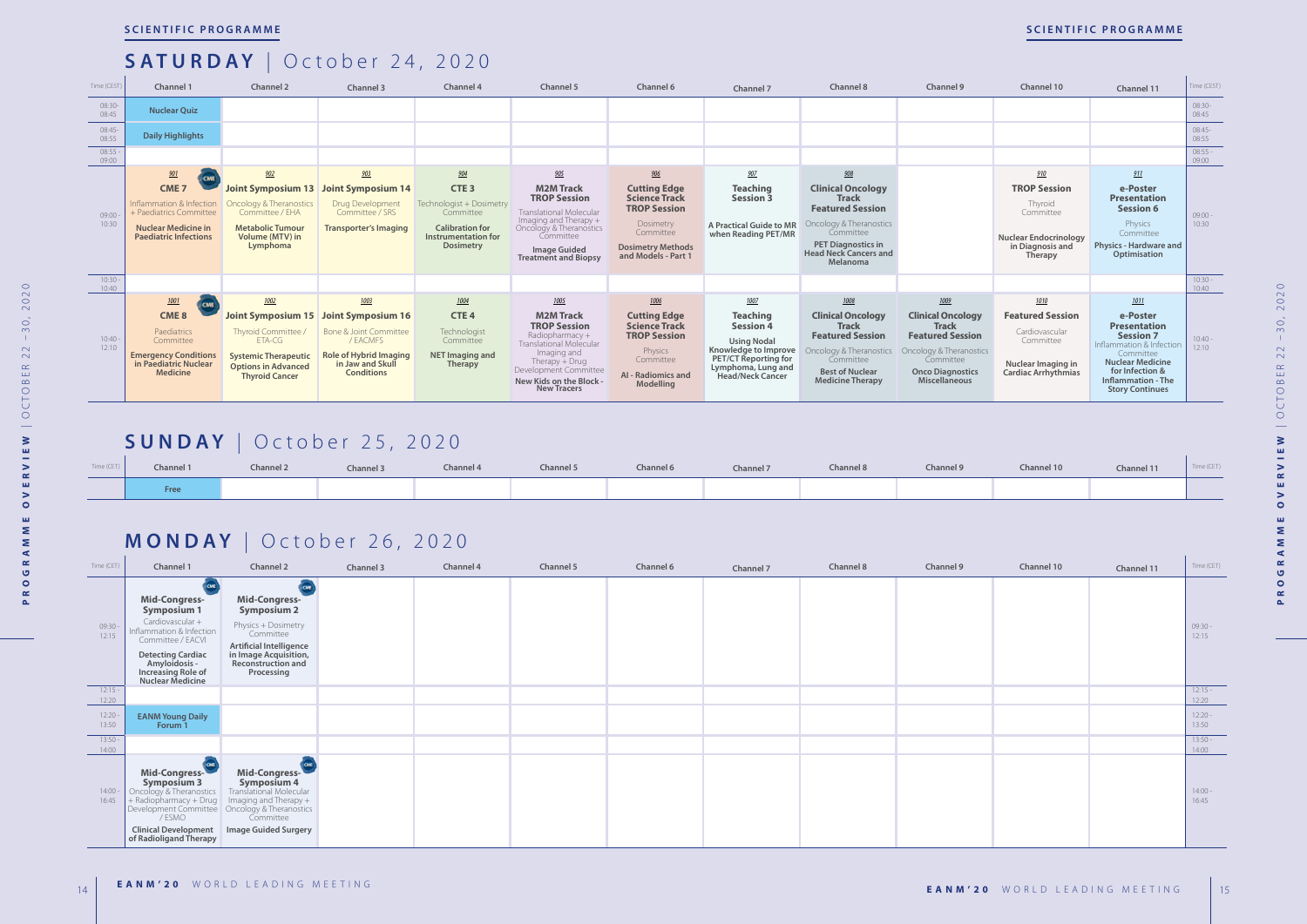| Time (CEST)        | Channel 1                                                                                                                                      | Channel 2                                                                                                                                                | Channel 3                                                                                                                                  | Channel 4                                                                                                                      | Channel 5                                                                                                                                                                                                         | Channel 6                                                                                                                                       | Channel 7                                                                                                                                                          | Channel 8                                                                                                                                                                            | <b>Channel 9</b>                                                                                                                                                       | Channel 10                                                                                                         | Channel 11                                                                                                                                                                                                | Time (CEST)        |
|--------------------|------------------------------------------------------------------------------------------------------------------------------------------------|----------------------------------------------------------------------------------------------------------------------------------------------------------|--------------------------------------------------------------------------------------------------------------------------------------------|--------------------------------------------------------------------------------------------------------------------------------|-------------------------------------------------------------------------------------------------------------------------------------------------------------------------------------------------------------------|-------------------------------------------------------------------------------------------------------------------------------------------------|--------------------------------------------------------------------------------------------------------------------------------------------------------------------|--------------------------------------------------------------------------------------------------------------------------------------------------------------------------------------|------------------------------------------------------------------------------------------------------------------------------------------------------------------------|--------------------------------------------------------------------------------------------------------------------|-----------------------------------------------------------------------------------------------------------------------------------------------------------------------------------------------------------|--------------------|
| 08:30-<br>08:45    | <b>Nuclear Ouiz</b>                                                                                                                            |                                                                                                                                                          |                                                                                                                                            |                                                                                                                                |                                                                                                                                                                                                                   |                                                                                                                                                 |                                                                                                                                                                    |                                                                                                                                                                                      |                                                                                                                                                                        |                                                                                                                    |                                                                                                                                                                                                           | 08:30-<br>08:45    |
| 08:45-<br>08:55    | <b>Daily Highlights</b>                                                                                                                        |                                                                                                                                                          |                                                                                                                                            |                                                                                                                                |                                                                                                                                                                                                                   |                                                                                                                                                 |                                                                                                                                                                    |                                                                                                                                                                                      |                                                                                                                                                                        |                                                                                                                    |                                                                                                                                                                                                           | 08:45-<br>08:55    |
| $08:55 -$<br>09:00 |                                                                                                                                                |                                                                                                                                                          |                                                                                                                                            |                                                                                                                                |                                                                                                                                                                                                                   |                                                                                                                                                 |                                                                                                                                                                    |                                                                                                                                                                                      |                                                                                                                                                                        |                                                                                                                    |                                                                                                                                                                                                           | $08:55 -$<br>09:00 |
|                    | 901<br><b>CME</b>                                                                                                                              | 902                                                                                                                                                      | 903                                                                                                                                        | 904                                                                                                                            | 905                                                                                                                                                                                                               | 906                                                                                                                                             | 907                                                                                                                                                                | 908                                                                                                                                                                                  |                                                                                                                                                                        | 910                                                                                                                | 911                                                                                                                                                                                                       |                    |
| 09:00<br>10:30     | CME <sub>7</sub><br>Inflammation & Infection<br>+ Paediatrics Committee<br><b>Nuclear Medicine in</b><br><b>Paediatric Infections</b>          | Oncology & Theranostics<br>Committee / EHA<br><b>Metabolic Tumour</b><br>Volume (MTV) in<br>Lymphoma                                                     | Joint Symposium 13 Joint Symposium 14<br>Drug Development<br>Committee / SRS<br><b>Transporter's Imaging</b>                               | CTE <sub>3</sub><br>Technologist + Dosimetry<br>Committee<br><b>Calibration for</b><br>Instrumentation for<br><b>Dosimetry</b> | <b>M2M Track</b><br><b>TROP Session</b><br><b>Translational Molecular</b><br>Imaging and Therapy +<br>Oncology & Theranostics<br>Committee<br><b>Image Guided</b><br><b>Treatment and Biopsy</b>                  | <b>Cutting Edge</b><br><b>Science Track</b><br><b>TROP Session</b><br>Dosimetry<br>Committee<br><b>Dosimetry Methods</b><br>and Models - Part 1 | <b>Teaching</b><br><b>Session 3</b><br><b>A Practical Guide to MR</b><br>when Reading PET/MR                                                                       | <b>Clinical Oncology</b><br><b>Track</b><br><b>Featured Session</b><br>Oncology & Theranostics<br>Committee<br><b>PET Diagnostics in</b><br><b>Head Neck Cancers and</b><br>Melanoma |                                                                                                                                                                        | <b>TROP Session</b><br>Thyroid<br>Committee<br><b>Nuclear Endocrinology</b><br>in Diagnosis and<br>Therapy         | e-Poster<br><b>Presentation</b><br><b>Session 6</b><br>Physics<br>Committee<br><b>Physics - Hardware and</b><br>Optimisation                                                                              | $09:00 -$<br>10:30 |
| $10:30 -$<br>10:40 |                                                                                                                                                |                                                                                                                                                          |                                                                                                                                            |                                                                                                                                |                                                                                                                                                                                                                   |                                                                                                                                                 |                                                                                                                                                                    |                                                                                                                                                                                      |                                                                                                                                                                        |                                                                                                                    |                                                                                                                                                                                                           | $10:30 -$<br>10:40 |
| $10:40 -$<br>12:10 | 1001<br><b>ICME</b><br>CME <sub>8</sub><br>Paediatrics<br>Committee<br><b>Emergency Conditions</b><br>in Paediatric Nuclear<br><b>Medicine</b> | 1002<br><b>Joint Symposium 15</b><br>Thyroid Committee /<br>ETA-CG<br><b>Systemic Therapeutic</b><br><b>Options in Advanced</b><br><b>Thyroid Cancer</b> | 1003<br>Joint Symposium 16<br>Bone & Joint Committee<br>/ EACMFS<br><b>Role of Hybrid Imaging</b><br>in Jaw and Skull<br><b>Conditions</b> | 1004<br>CTE <sub>4</sub><br>Technologist<br>Committee<br><b>NET Imaging and</b><br><b>Therapy</b>                              | 1005<br><b>M2M Track</b><br><b>TROP Session</b><br>Radiopharmacy $+$<br><b>Translational Molecular</b><br>Imaging and<br>Therapy + Drug<br>Development Committee<br>New Kids on the Block -<br><b>New Tracers</b> | 1006<br><b>Cutting Edge</b><br><b>Science Track</b><br><b>TROP Session</b><br>Physics<br>Committee<br><b>AI</b> - Radiomics and<br>Modelling    | 1007<br><b>Teaching</b><br><b>Session 4</b><br><b>Using Nodal</b><br>Knowledge to Improve<br><b>PET/CT Reporting for</b><br>Lymphoma, Lung and<br>Head/Neck Cancer | 1008<br><b>Clinical Oncology</b><br><b>Track</b><br><b>Featured Session</b><br>Oncology & Theranostics<br>Committee<br><b>Best of Nuclear</b><br><b>Medicine Therapy</b>             | 1009<br><b>Clinical Oncology</b><br><b>Track</b><br><b>Featured Session</b><br>Oncology & Theranostics<br>Committee<br><b>Onco Diagnostics</b><br><b>Miscellaneous</b> | 1010<br><b>Featured Session</b><br>Cardiovascular<br>Committee<br>Nuclear Imaging in<br><b>Cardiac Arrhythmias</b> | 1011<br>e-Poster<br><b>Presentation</b><br><b>Session 7</b><br>Inflammation & Infection<br>Committee<br><b>Nuclear Medicine</b><br>for Infection &<br><b>Inflammation - The</b><br><b>Story Continues</b> | $10:40 -$<br>12:10 |

| Time (CET) | Channel 1 | Channel 2 | Channel 3 | Channel 4 | Channel 5 | Channel 6 | Channel 7 | Channel 8 | Channel 9 | Channel 10 | Channel 11 | Time (CET) |
|------------|-----------|-----------|-----------|-----------|-----------|-----------|-----------|-----------|-----------|------------|------------|------------|
|            | Free      |           |           |           |           |           |           |           |           |            |            |            |

| Time (CET)         | Channel 1                                                                                                                                                                                                | Channel 2                                                                                                                                                                                                                | Channel 3 | Channel 4 | Channel 5 | Channel 6 | Channel 7 | Channel 8 | Channel 9 | Channel 10 | Channel 11 | Time (CET)         |
|--------------------|----------------------------------------------------------------------------------------------------------------------------------------------------------------------------------------------------------|--------------------------------------------------------------------------------------------------------------------------------------------------------------------------------------------------------------------------|-----------|-----------|-----------|-----------|-----------|-----------|-----------|------------|------------|--------------------|
| 09:30 -<br>12:15   | Mid-Congress-<br><b>Symposium 1</b><br>Cardiovascular +<br>Inflammation & Infection<br>Committee / EACVI<br><b>Detecting Cardiac</b><br><b>Amyloidosis -<br/>Increasing Role of<br/>Nuclear Medicine</b> | CME<br>Mid-Congress-<br><b>Symposium 2</b><br>Physics + Dosimetry<br>Committee<br><b>Artificial Intelligence</b><br>in Image Acquisition,<br><b>Reconstruction and</b><br>Processing                                     |           |           |           |           |           |           |           |            |            | $09:30 -$<br>12:15 |
| $12:15 -$<br>12:20 |                                                                                                                                                                                                          |                                                                                                                                                                                                                          |           |           |           |           |           |           |           |            |            | $12:15 -$<br>12:20 |
| 12:20<br>13:50     | <b>EANM Young Daily</b><br>Forum 1                                                                                                                                                                       |                                                                                                                                                                                                                          |           |           |           |           |           |           |           |            |            | $12:20 -$<br>13:50 |
| $13:50 -$<br>14:00 |                                                                                                                                                                                                          |                                                                                                                                                                                                                          |           |           |           |           |           |           |           |            |            | $13:50 -$<br>14:00 |
| $14:00 -$<br>16:45 | Mid-Congress-<br><b>Symposium 3</b><br>Oncology & Theranostics<br><b>Clinical Development</b><br>of Radioligand Therapy                                                                                  | Mid-Congress-<br><b>Symposium 4</b><br>Translational Molecular<br>The Museum of the Christian of the Christian of the Development Committee<br>Development Committee<br>SEMO<br>Committee<br><b>Image Guided Surgery</b> |           |           |           |           |           |           |           |            |            | $14:00 -$<br>16:45 |

# **SATURDAY** | October 24, 2020

### **SUNDAY** | October 25, 2020

### **MONDAY** | October 26, 2020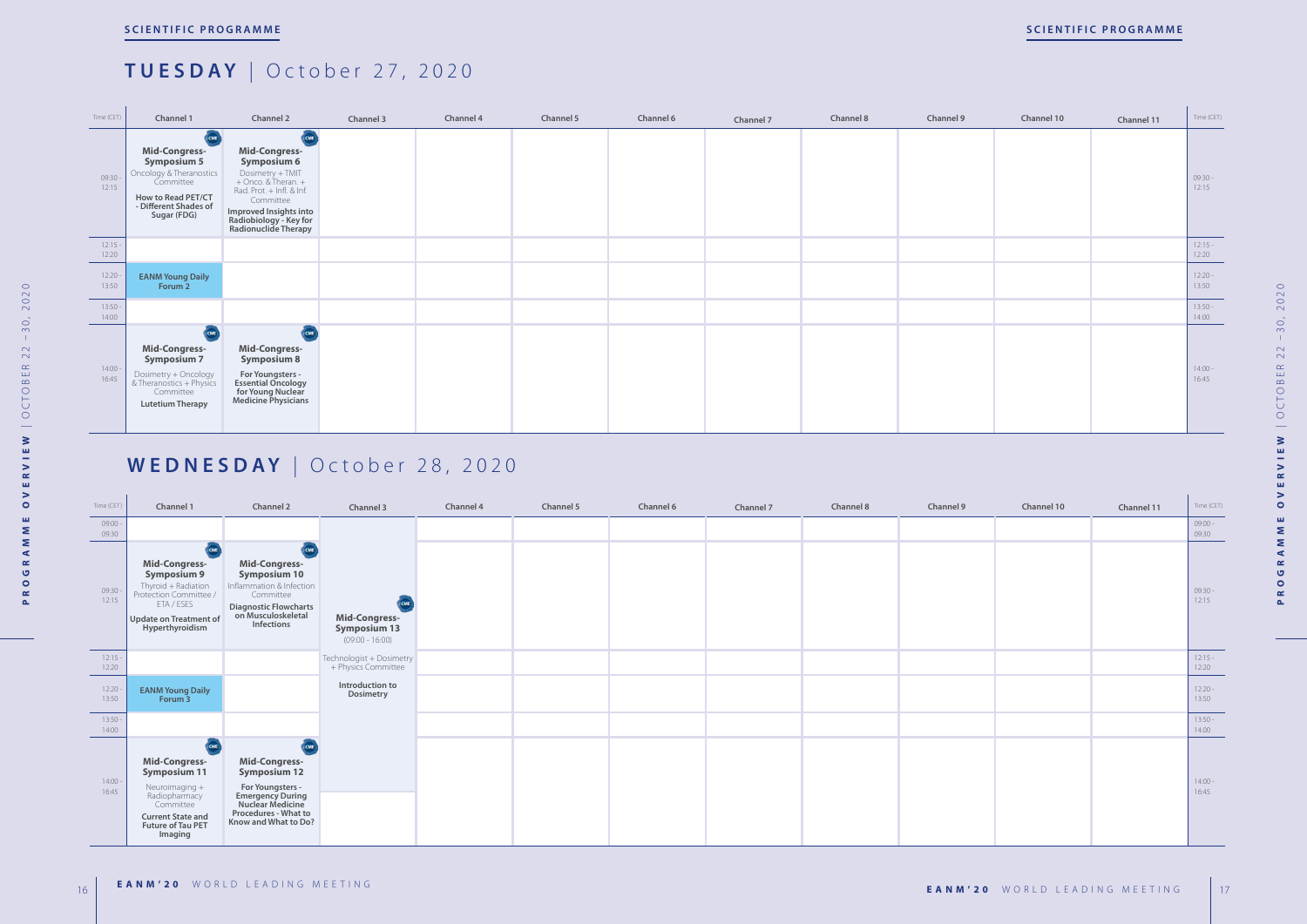

| Channel 10 | Channel 11 | Time (CET)         |
|------------|------------|--------------------|
|            |            | $09:30 -$<br>12:15 |
|            |            | $12:15 -$<br>12:20 |
|            |            | $12:20 -$<br>13:50 |
|            |            | $13:50 -$<br>14:00 |
|            |            | $14:00 -$<br>16:45 |

| Time (CET)         | Channel 1                                                                                                                                               | Channel 2                                                                                                                                                       | Channel 3                                                        | Channel 4 | Channel 5 | Channel 6 | Channel 7 | Channel 8 | Channel 9 | Channel 10 | Channel 11 | Time (CET)         |
|--------------------|---------------------------------------------------------------------------------------------------------------------------------------------------------|-----------------------------------------------------------------------------------------------------------------------------------------------------------------|------------------------------------------------------------------|-----------|-----------|-----------|-----------|-----------|-----------|------------|------------|--------------------|
| $09:00 -$<br>09:30 |                                                                                                                                                         |                                                                                                                                                                 |                                                                  |           |           |           |           |           |           |            |            | $09:00 -$<br>09:30 |
| $09:30 -$<br>12:15 | ICME<br>Mid-Congress-<br><b>Symposium 9</b><br>Thyroid + Radiation<br>Protection Committee /<br>ETA / ESES<br>Update on Treatment of<br>Hyperthyroidism | (CME)<br>Mid-Congress-<br><b>Symposium 10</b><br>Inflammation & Infection<br>Committee<br><b>Diagnostic Flowcharts</b><br>on Musculoskeletal<br>Infections      | CME<br>Mid-Congress-<br><b>Symposium 13</b><br>$(09:00 - 16:00)$ |           |           |           |           |           |           |            |            | $09:30 -$<br>12:15 |
| 12:15<br>12:20     |                                                                                                                                                         |                                                                                                                                                                 | Technologist + Dosimetry<br>+ Physics Committee                  |           |           |           |           |           |           |            |            | $12:15 -$<br>12:20 |
| 12:20<br>13:50     | <b>EANM Young Daily</b><br>Forum <sub>3</sub>                                                                                                           |                                                                                                                                                                 | Introduction to<br>Dosimetry                                     |           |           |           |           |           |           |            |            | $12:20 -$<br>13:50 |
| $13:50 -$<br>14:00 |                                                                                                                                                         |                                                                                                                                                                 |                                                                  |           |           |           |           |           |           |            |            | $13:50 -$<br>14:00 |
| $14:00 -$<br>16:45 | Mid-Congress-<br><b>Symposium 11</b><br>Neuroimaging +<br>Radiopharmacy<br>Committee<br><b>Current State and</b><br>Future of Tau PET<br>Imaging        | CME<br>Mid-Congress-<br><b>Symposium 12</b><br>For Youngsters -<br><b>Emergency During<br/>Nuclear Medicine</b><br>Procedures - What to<br>Know and What to Do? |                                                                  |           |           |           |           |           |           |            |            | $14:00 -$<br>16:45 |

### **TUESDAY** | October 27, 2020

# **WEDNESDAY** | October 28, 2020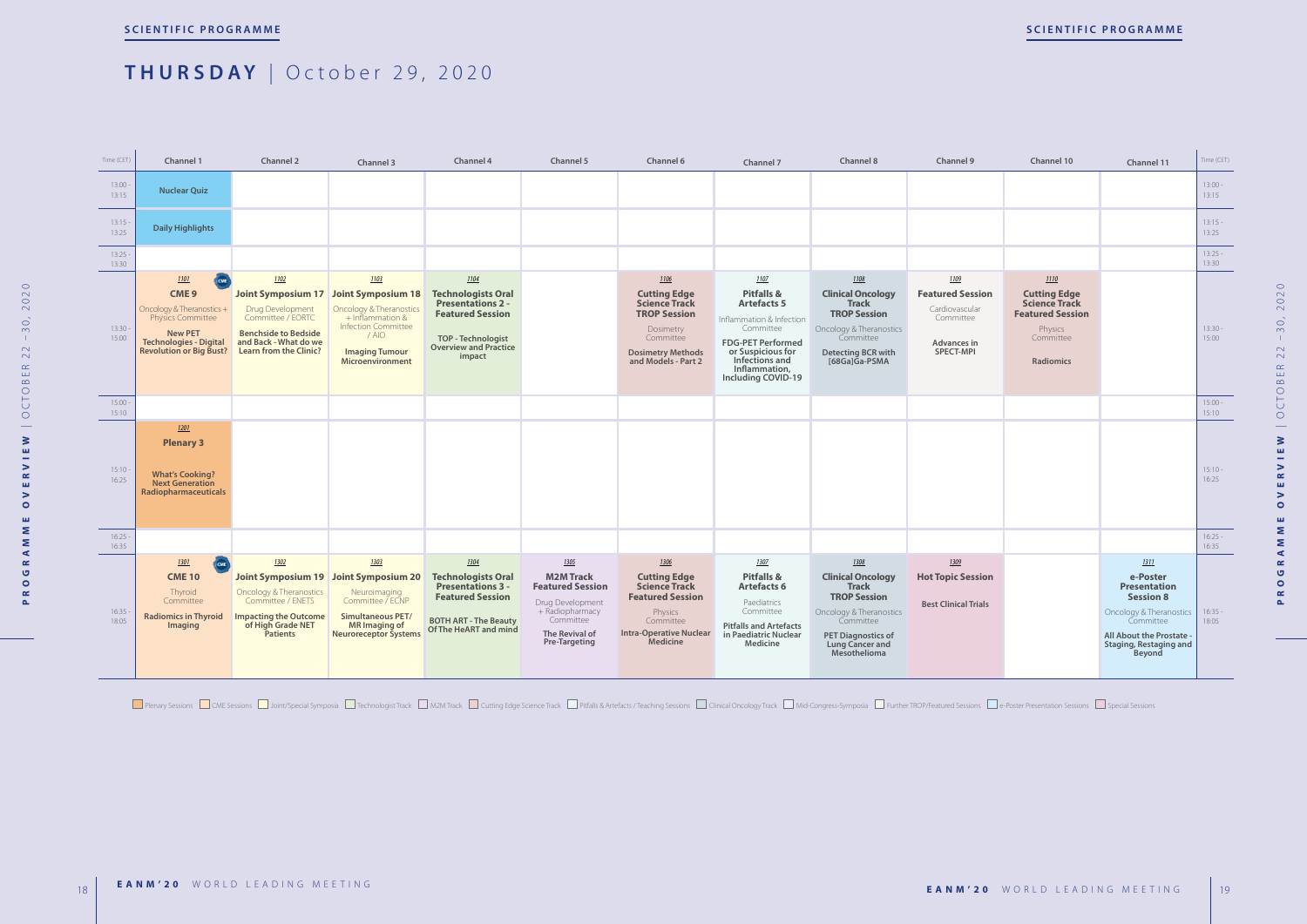

Plenary Sessions COME Sessions Contri<sup>n</sup> Special Symposia Composit Track Commutation Mand Track Conting Edge Science Track Conting Edge Science Track Contring Bessions Contring Sessions Contring Special Sessions Publical O

| Channel 10                                                                                                                 | Channel 11                                                                                                                                                                 | Time (CET)         |
|----------------------------------------------------------------------------------------------------------------------------|----------------------------------------------------------------------------------------------------------------------------------------------------------------------------|--------------------|
|                                                                                                                            |                                                                                                                                                                            | $13:00 -$<br>13:15 |
|                                                                                                                            |                                                                                                                                                                            | $13:15 -$<br>13:25 |
|                                                                                                                            |                                                                                                                                                                            | $13:25 -$<br>13:30 |
| 1110<br><b>Cutting Edge</b><br><b>Science Track</b><br><b>Featured Session</b><br>Physics<br>Committee<br><b>Radiomics</b> |                                                                                                                                                                            | $13:30 -$<br>15:00 |
|                                                                                                                            |                                                                                                                                                                            | $15:00 -$<br>15:10 |
|                                                                                                                            |                                                                                                                                                                            | $15:10 -$<br>16:25 |
|                                                                                                                            |                                                                                                                                                                            | $16:25 -$<br>16:35 |
|                                                                                                                            | 1311<br>e-Poster<br><b>Presentation</b><br><b>Session 8</b><br>Oncology & Theranostics<br>Committee<br>All About the Prostate -<br><b>Staging, Restaging and</b><br>Beyond | $16:35 -$<br>18:05 |
|                                                                                                                            |                                                                                                                                                                            |                    |

2020 **PROGRAMME OVERVIEW** | OCTOBER 22 –30, 2020  $-30,$  $22$ CTOBER  $\overline{O}$  $\overline{\phantom{m}}$  $\geq$  $\mathord{\mathbb Z}$  $\geq$  $\simeq$ **u**  $\geq$  $\bullet$  $\mathbf{m}$  $\sum$  $\mathbf{z}$  $\blacktriangleleft$  $\propto$  $\bullet$  $\circ$  $\simeq$  $\Delta$ 

### **THURSDAY** | October 29, 2020